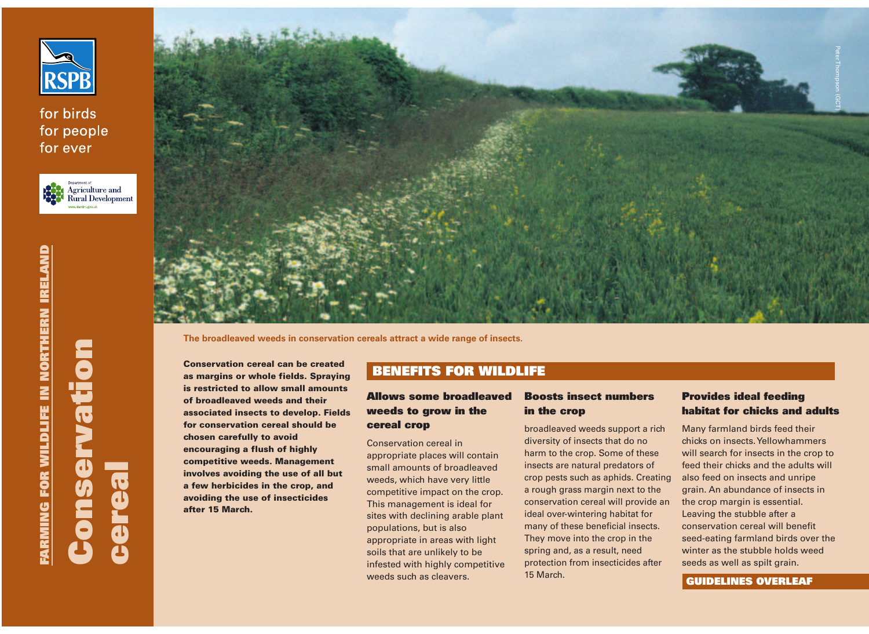

for birds for people for ever





**The broadleaved weeds in conservation cereals attract a wide range of insects.**

**Conservation cereal can be created as margins or whole fields. Spraying is restricted to allow small amounts of broadleaved weeds and their associated insects to develop. Fields for conservation cereal should be chosen carefully to avoid encouraging a flush of highly competitive weeds. Management involves avoiding the use of all but a few herbicides in the crop, and avoiding the use of insecticides after 15 March.** 

# **BENEFITS FOR WILDLIFE**

### **Allows some broadleaved weeds to grow in the cereal crop**

Conservation cereal in appropriate places will contain small amounts of broadleaved weeds, which have very little competitive impact on the crop. This management is ideal for sites with declining arable plant populations, but is also appropriate in areas with light soils that are unlikely to be infested with highly competitive weeds such as cleavers.

### **Boosts insect numbers in the crop**

broadleaved weeds support a rich diversity of insects that do no harm to the crop. Some of these insects are natural predators of crop pests such as aphids. Creating a rough grass margin next to the conservation cereal will provide an ideal over-wintering habitat for many of these beneficial insects. They move into the crop in the spring and, as a result, need protection from insecticides after 15 March.

### **Provides ideal feeding habitat for chicks and adults**

Many farmland birds feed their chicks on insects. Yellowhammers will search for insects in the crop to feed their chicks and the adults will also feed on insects and unripe grain. An abundance of insects in the crop margin is essential. Leaving the stubble after a conservation cereal will benefit seed-eating farmland birds over the winter as the stubble holds weed seeds as well as spilt grain.

#### **GUIDELINES OVERLEAF**

**Conservation** 

**Suo** 

ervation

**cereal**